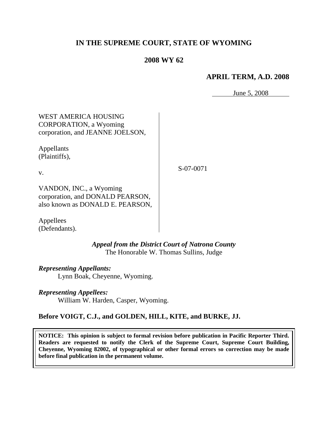# **IN THE SUPREME COURT, STATE OF WYOMING**

## **2008 WY 62**

#### **APRIL TERM, A.D. 2008**

June 5, 2008

WEST AMERICA HOUSING CORPORATION, a Wyoming corporation, and JEANNE JOELSON,

Appellants (Plaintiffs),

v.

S-07-0071

VANDON, INC., a Wyoming corporation, and DONALD PEARSON, also known as DONALD E. PEARSON,

Appellees (Defendants).

> *Appeal from the District Court of Natrona County* The Honorable W. Thomas Sullins, Judge

*Representing Appellants:*

Lynn Boak, Cheyenne, Wyoming.

*Representing Appellees:*

William W. Harden, Casper, Wyoming.

#### **Before VOIGT, C.J., and GOLDEN, HILL, KITE, and BURKE, JJ.**

**NOTICE: This opinion is subject to formal revision before publication in Pacific Reporter Third. Readers are requested to notify the Clerk of the Supreme Court, Supreme Court Building, Cheyenne, Wyoming 82002, of typographical or other formal errors so correction may be made before final publication in the permanent volume.**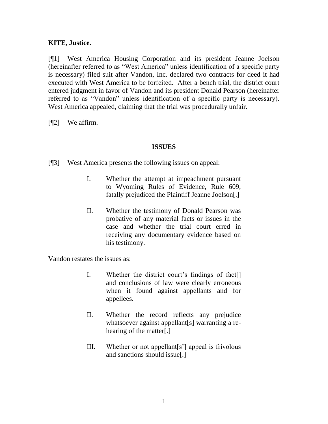### **KITE, Justice.**

[¶1] West America Housing Corporation and its president Jeanne Joelson (hereinafter referred to as "West America" unless identification of a specific party is necessary) filed suit after Vandon, Inc. declared two contracts for deed it had executed with West America to be forfeited. After a bench trial, the district court entered judgment in favor of Vandon and its president Donald Pearson (hereinafter referred to as "Vandon" unless identification of a specific party is necessary). West America appealed, claiming that the trial was procedurally unfair.

[¶2] We affirm.

### **ISSUES**

[¶3] West America presents the following issues on appeal:

- I. Whether the attempt at impeachment pursuant to Wyoming Rules of Evidence, Rule 609, fatally prejudiced the Plaintiff Jeanne Joelson[.]
- II. Whether the testimony of Donald Pearson was probative of any material facts or issues in the case and whether the trial court erred in receiving any documentary evidence based on his testimony.

Vandon restates the issues as:

- I. Whether the district court's findings of fact and conclusions of law were clearly erroneous when it found against appellants and for appellees.
- II. Whether the record reflects any prejudice whatsoever against appellant[s] warranting a rehearing of the matter[.]
- III. Whether or not appellant[s"] appeal is frivolous and sanctions should issue[.]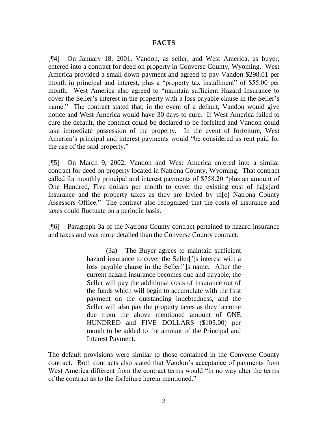#### **FACTS**

[¶4] On January 18, 2001, Vandon, as seller, and West America, as buyer, entered into a contract for deed on property in Converse County, Wyoming. West America provided a small down payment and agreed to pay Vandon \$298.01 per month in principal and interest, plus a "property tax installment" of \$55.00 per month. West America also agreed to "maintain sufficient Hazard Insurance to cover the Seller's interest in the property with a loss payable clause in the Seller's name." The contract stated that, in the event of a default, Vandon would give notice and West America would have 30 days to cure. If West America failed to cure the default, the contract could be declared to be forfeited and Vandon could take immediate possession of the property. In the event of forfeiture, West America"s principal and interest payments would "be considered as rent paid for the use of the said property."

[¶5] On March 9, 2002, Vandon and West America entered into a similar contract for deed on property located in Natrona County, Wyoming. That contract called for monthly principal and interest payments of \$758.20 "plus an amount of One Hundred, Five dollars per month to cover the existing cost of ha[z]ard insurance and the property taxes as they are levied by th[e] Natrona County Assessors Office." The contract also recognized that the costs of insurance and taxes could fluctuate on a periodic basis.

[¶6] Paragraph 3a of the Natrona County contract pertained to hazard insurance and taxes and was more detailed than the Converse County contract:

> (3a) The Buyer agrees to maintain sufficient hazard insurance to cover the Seller<sup>[']</sup>s interest with a loss payable clause in the Seller["]s name. After the current hazard insurance becomes due and payable, the Seller will pay the additional costs of insurance out of the funds which will begin to accumulate with the first payment on the outstanding indebtedness, and the Seller will also pay the property taxes as they become due from the above mentioned amount of ONE HUNDRED and FIVE DOLLARS (\$105.00) per month to be added to the amount of the Principal and Interest Payment.

The default provisions were similar to those contained in the Converse County contract. Both contracts also stated that Vandon"s acceptance of payments from West America different from the contract terms would "in no way alter the terms of the contract as to the forfeiture herein mentioned."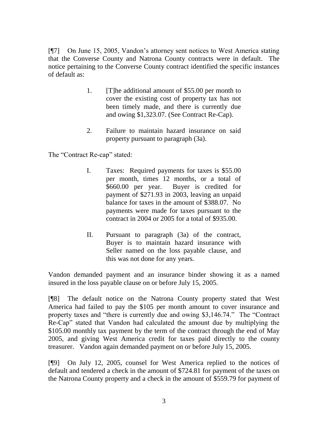[¶7] On June 15, 2005, Vandon"s attorney sent notices to West America stating that the Converse County and Natrona County contracts were in default. The notice pertaining to the Converse County contract identified the specific instances of default as:

- 1. [T]he additional amount of \$55.00 per month to cover the existing cost of property tax has not been timely made, and there is currently due and owing \$1,323.07. (See Contract Re-Cap).
- 2. Failure to maintain hazard insurance on said property pursuant to paragraph (3a).

The "Contract Re-cap" stated:

- I. Taxes: Required payments for taxes is \$55.00 per month, times 12 months, or a total of \$660.00 per year. Buyer is credited for payment of \$271.93 in 2003, leaving an unpaid balance for taxes in the amount of \$388.07. No payments were made for taxes pursuant to the contract in 2004 or 2005 for a total of \$935.00.
- II. Pursuant to paragraph (3a) of the contract, Buyer is to maintain hazard insurance with Seller named on the loss payable clause, and this was not done for any years.

Vandon demanded payment and an insurance binder showing it as a named insured in the loss payable clause on or before July 15, 2005.

[¶8] The default notice on the Natrona County property stated that West America had failed to pay the \$105 per month amount to cover insurance and property taxes and "there is currently due and owing \$3,146.74." The "Contract Re-Cap" stated that Vandon had calculated the amount due by multiplying the \$105.00 monthly tax payment by the term of the contract through the end of May 2005, and giving West America credit for taxes paid directly to the county treasurer. Vandon again demanded payment on or before July 15, 2005.

[¶9] On July 12, 2005, counsel for West America replied to the notices of default and tendered a check in the amount of \$724.81 for payment of the taxes on the Natrona County property and a check in the amount of \$559.79 for payment of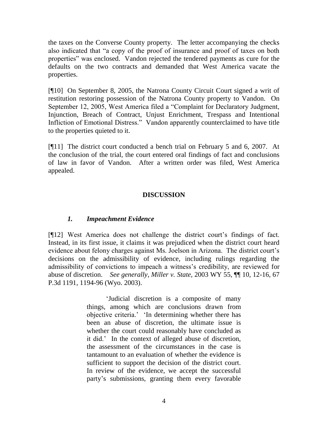the taxes on the Converse County property. The letter accompanying the checks also indicated that "a copy of the proof of insurance and proof of taxes on both properties" was enclosed. Vandon rejected the tendered payments as cure for the defaults on the two contracts and demanded that West America vacate the properties.

[¶10] On September 8, 2005, the Natrona County Circuit Court signed a writ of restitution restoring possession of the Natrona County property to Vandon. On September 12, 2005, West America filed a "Complaint for Declaratory Judgment, Injunction, Breach of Contract, Unjust Enrichment, Trespass and Intentional Infliction of Emotional Distress." Vandon apparently counterclaimed to have title to the properties quieted to it.

[¶11] The district court conducted a bench trial on February 5 and 6, 2007. At the conclusion of the trial, the court entered oral findings of fact and conclusions of law in favor of Vandon. After a written order was filed, West America appealed.

### **DISCUSSION**

### *1. Impeachment Evidence*

[¶12] West America does not challenge the district court"s findings of fact. Instead, in its first issue, it claims it was prejudiced when the district court heard evidence about felony charges against Ms. Joelson in Arizona. The district court's decisions on the admissibility of evidence, including rulings regarding the admissibility of convictions to impeach a witness"s credibility, are reviewed for abuse of discretion. *See generally*, *Miller v. State,* 2003 WY 55, ¶¶ 10, 12-16, 67 P.3d 1191, 1194-96 (Wyo. 2003).

> "Judicial discretion is a composite of many things, among which are conclusions drawn from objective criteria." "In determining whether there has been an abuse of discretion, the ultimate issue is whether the court could reasonably have concluded as it did." In the context of alleged abuse of discretion, the assessment of the circumstances in the case is tantamount to an evaluation of whether the evidence is sufficient to support the decision of the district court. In review of the evidence, we accept the successful party"s submissions, granting them every favorable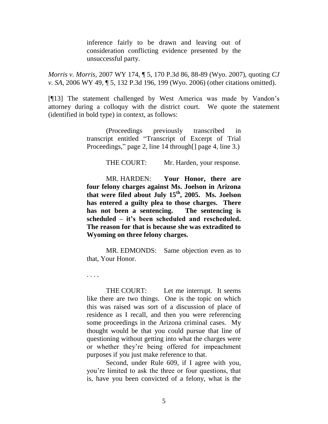inference fairly to be drawn and leaving out of consideration conflicting evidence presented by the unsuccessful party.

*Morris v. Morris,* 2007 WY 174, ¶ 5, 170 P.3d 86, 88-89 (Wyo. 2007), quoting *CJ v. SA*, 2006 WY 49, ¶ 5, 132 P.3d 196, 199 (Wyo. 2006) (other citations omitted).

[¶13] The statement challenged by West America was made by Vandon's attorney during a colloquy with the district court. We quote the statement (identified in bold type) in context, as follows:

> (Proceedings previously transcribed in transcript entitled "Transcript of Excerpt of Trial Proceedings," page 2, line 14 through [] page 4, line 3.)

> > THE COURT: Mr. Harden, your response.

MR. HARDEN: **Your Honor, there are four felony charges against Ms. Joelson in Arizona that were filed about July 15th, 2005. Ms. Joelson has entered a guilty plea to those charges. There has not been a sentencing. The sentencing is scheduled – it's been scheduled and rescheduled. The reason for that is because she was extradited to Wyoming on three felony charges.**

MR. EDMONDS: Same objection even as to that, Your Honor.

. . . .

THE COURT: Let me interrupt. It seems like there are two things. One is the topic on which this was raised was sort of a discussion of place of residence as I recall, and then you were referencing some proceedings in the Arizona criminal cases. My thought would be that you could pursue that line of questioning without getting into what the charges were or whether they"re being offered for impeachment purposes if you just make reference to that.

Second, under Rule 609, if I agree with you, you"re limited to ask the three or four questions, that is, have you been convicted of a felony, what is the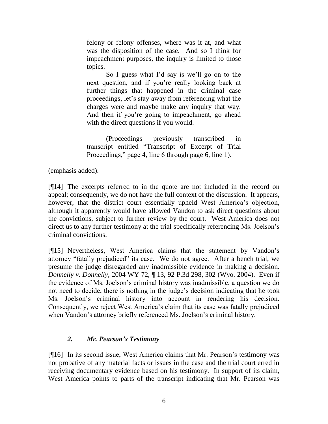felony or felony offenses, where was it at, and what was the disposition of the case. And so I think for impeachment purposes, the inquiry is limited to those topics.

So I guess what I"d say is we"ll go on to the next question, and if you"re really looking back at further things that happened in the criminal case proceedings, let's stay away from referencing what the charges were and maybe make any inquiry that way. And then if you"re going to impeachment, go ahead with the direct questions if you would.

(Proceedings previously transcribed in transcript entitled "Transcript of Excerpt of Trial Proceedings," page 4, line 6 through page 6, line 1).

(emphasis added).

[¶14] The excerpts referred to in the quote are not included in the record on appeal; consequently, we do not have the full context of the discussion. It appears, however, that the district court essentially upheld West America's objection, although it apparently would have allowed Vandon to ask direct questions about the convictions, subject to further review by the court. West America does not direct us to any further testimony at the trial specifically referencing Ms. Joelson"s criminal convictions.

[¶15] Nevertheless, West America claims that the statement by Vandon"s attorney "fatally prejudiced" its case. We do not agree. After a bench trial, we presume the judge disregarded any inadmissible evidence in making a decision. *Donnelly v. Donnelly,* 2004 WY 72, ¶ 13, 92 P.3d 298, 302 (Wyo. 2004). Even if the evidence of Ms. Joelson"s criminal history was inadmissible, a question we do not need to decide, there is nothing in the judge"s decision indicating that he took Ms. Joelson"s criminal history into account in rendering his decision. Consequently, we reject West America"s claim that its case was fatally prejudiced when Vandon's attorney briefly referenced Ms. Joelson's criminal history.

### *2. Mr. Pearson's Testimony*

[¶16] In its second issue, West America claims that Mr. Pearson"s testimony was not probative of any material facts or issues in the case and the trial court erred in receiving documentary evidence based on his testimony. In support of its claim, West America points to parts of the transcript indicating that Mr. Pearson was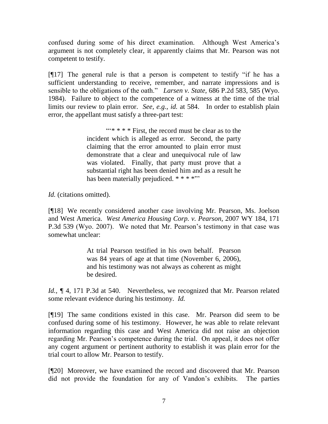confused during some of his direct examination. Although West America's argument is not completely clear, it apparently claims that Mr. Pearson was not competent to testify.

[¶17] The general rule is that a person is competent to testify "if he has a sufficient understanding to receive, remember, and narrate impressions and is sensible to the obligations of the oath." *Larsen v. State,* 686 P.2d 583, 585 (Wyo. 1984). Failure to object to the competence of a witness at the time of the trial limits our review to plain error. *See, e.g.*, *id.* at 584. In order to establish plain error, the appellant must satisfy a three-part test:

> $\cdots$  \* \*  $*$  First, the record must be clear as to the incident which is alleged as error. Second, the party claiming that the error amounted to plain error must demonstrate that a clear and unequivocal rule of law was violated. Finally, that party must prove that a substantial right has been denied him and as a result he has been materially prejudiced. \* \* \* \*""

*Id.* (citations omitted).

[¶18] We recently considered another case involving Mr. Pearson, Ms. Joelson and West America. *West America Housing Corp. v. Pearson,* 2007 WY 184, 171 P.3d 539 (Wyo. 2007). We noted that Mr. Pearson's testimony in that case was somewhat unclear:

> At trial Pearson testified in his own behalf. Pearson was 84 years of age at that time (November 6, 2006), and his testimony was not always as coherent as might be desired.

*Id.,*  $\sqrt{q}$  4, 171 P.3d at 540. Nevertheless, we recognized that Mr. Pearson related some relevant evidence during his testimony. *Id.* 

[¶19] The same conditions existed in this case. Mr. Pearson did seem to be confused during some of his testimony. However, he was able to relate relevant information regarding this case and West America did not raise an objection regarding Mr. Pearson"s competence during the trial. On appeal, it does not offer any cogent argument or pertinent authority to establish it was plain error for the trial court to allow Mr. Pearson to testify.

[¶20] Moreover, we have examined the record and discovered that Mr. Pearson did not provide the foundation for any of Vandon"s exhibits. The parties